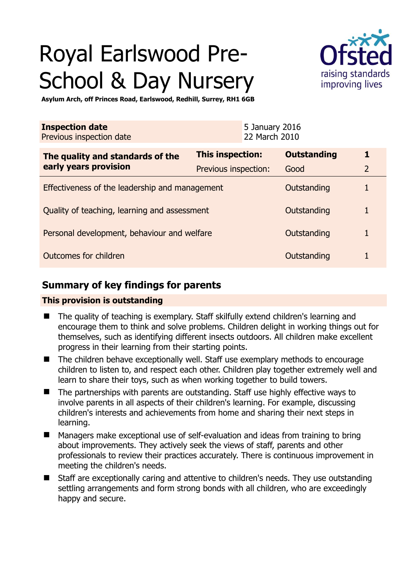# Royal Earlswood Pre-School & Day Nursery



**Asylum Arch, off Princes Road, Earlswood, Redhill, Surrey, RH1 6GB** 

| <b>Inspection date</b><br>Previous inspection date        |                         | 5 January 2016<br>22 March 2010 |                    |                |
|-----------------------------------------------------------|-------------------------|---------------------------------|--------------------|----------------|
| The quality and standards of the<br>early years provision | <b>This inspection:</b> |                                 | <b>Outstanding</b> | 1              |
|                                                           | Previous inspection:    |                                 | Good               | $\overline{2}$ |
| Effectiveness of the leadership and management            |                         |                                 | Outstanding        |                |
| Quality of teaching, learning and assessment              |                         |                                 | Outstanding        |                |
| Personal development, behaviour and welfare               |                         |                                 | Outstanding        | 1              |
| Outcomes for children                                     |                         |                                 | Outstanding        |                |

# **Summary of key findings for parents**

## **This provision is outstanding**

- The quality of teaching is exemplary. Staff skilfully extend children's learning and encourage them to think and solve problems. Children delight in working things out for themselves, such as identifying different insects outdoors. All children make excellent progress in their learning from their starting points.
- The children behave exceptionally well. Staff use exemplary methods to encourage children to listen to, and respect each other. Children play together extremely well and learn to share their toys, such as when working together to build towers.
- The partnerships with parents are outstanding. Staff use highly effective ways to involve parents in all aspects of their children's learning. For example, discussing children's interests and achievements from home and sharing their next steps in learning.
- Managers make exceptional use of self-evaluation and ideas from training to bring about improvements. They actively seek the views of staff, parents and other professionals to review their practices accurately. There is continuous improvement in meeting the children's needs.
- Staff are exceptionally caring and attentive to children's needs. They use outstanding settling arrangements and form strong bonds with all children, who are exceedingly happy and secure.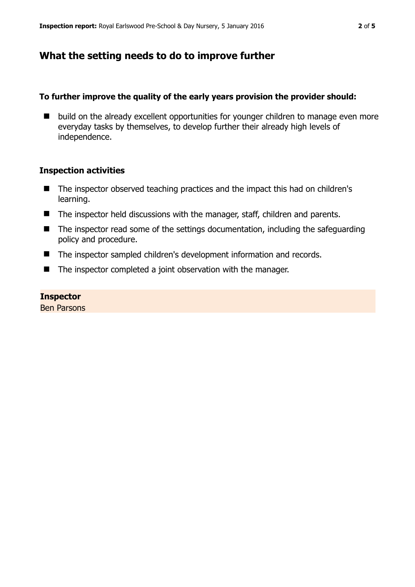## **What the setting needs to do to improve further**

#### **To further improve the quality of the early years provision the provider should:**

■ build on the already excellent opportunities for younger children to manage even more everyday tasks by themselves, to develop further their already high levels of independence.

## **Inspection activities**

- The inspector observed teaching practices and the impact this had on children's learning.
- The inspector held discussions with the manager, staff, children and parents.
- The inspector read some of the settings documentation, including the safeguarding policy and procedure.
- The inspector sampled children's development information and records.
- The inspector completed a joint observation with the manager.

#### **Inspector**

Ben Parsons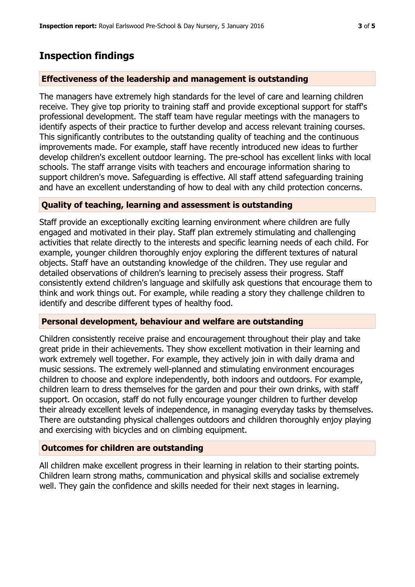# **Inspection findings**

## **Effectiveness of the leadership and management is outstanding**

The managers have extremely high standards for the level of care and learning children receive. They give top priority to training staff and provide exceptional support for staff's professional development. The staff team have regular meetings with the managers to identify aspects of their practice to further develop and access relevant training courses. This significantly contributes to the outstanding quality of teaching and the continuous improvements made. For example, staff have recently introduced new ideas to further develop children's excellent outdoor learning. The pre-school has excellent links with local schools. The staff arrange visits with teachers and encourage information sharing to support children's move. Safeguarding is effective. All staff attend safeguarding training and have an excellent understanding of how to deal with any child protection concerns.

## **Quality of teaching, learning and assessment is outstanding**

Staff provide an exceptionally exciting learning environment where children are fully engaged and motivated in their play. Staff plan extremely stimulating and challenging activities that relate directly to the interests and specific learning needs of each child. For example, younger children thoroughly enjoy exploring the different textures of natural objects. Staff have an outstanding knowledge of the children. They use regular and detailed observations of children's learning to precisely assess their progress. Staff consistently extend children's language and skilfully ask questions that encourage them to think and work things out. For example, while reading a story they challenge children to identify and describe different types of healthy food.

#### **Personal development, behaviour and welfare are outstanding**

Children consistently receive praise and encouragement throughout their play and take great pride in their achievements. They show excellent motivation in their learning and work extremely well together. For example, they actively join in with daily drama and music sessions. The extremely well-planned and stimulating environment encourages children to choose and explore independently, both indoors and outdoors. For example, children learn to dress themselves for the garden and pour their own drinks, with staff support. On occasion, staff do not fully encourage younger children to further develop their already excellent levels of independence, in managing everyday tasks by themselves. There are outstanding physical challenges outdoors and children thoroughly enjoy playing and exercising with bicycles and on climbing equipment.

## **Outcomes for children are outstanding**

All children make excellent progress in their learning in relation to their starting points. Children learn strong maths, communication and physical skills and socialise extremely well. They gain the confidence and skills needed for their next stages in learning.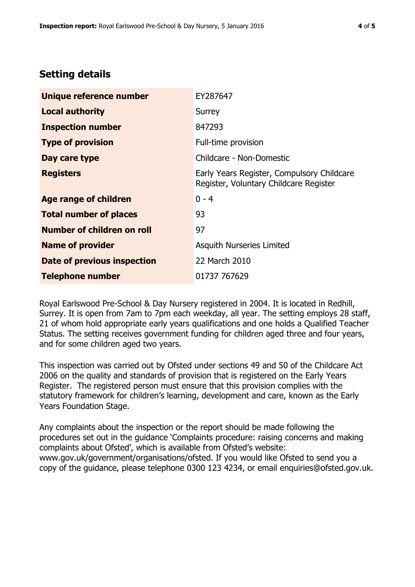# **Setting details**

| Unique reference number       | EY287647                                                                             |  |
|-------------------------------|--------------------------------------------------------------------------------------|--|
| <b>Local authority</b>        | Surrey                                                                               |  |
| <b>Inspection number</b>      | 847293                                                                               |  |
| <b>Type of provision</b>      | Full-time provision                                                                  |  |
| Day care type                 | Childcare - Non-Domestic                                                             |  |
| <b>Registers</b>              | Early Years Register, Compulsory Childcare<br>Register, Voluntary Childcare Register |  |
| <b>Age range of children</b>  | $0 - 4$                                                                              |  |
| <b>Total number of places</b> | 93                                                                                   |  |
| Number of children on roll    | 97                                                                                   |  |
| <b>Name of provider</b>       | <b>Asquith Nurseries Limited</b>                                                     |  |
| Date of previous inspection   | 22 March 2010                                                                        |  |
| <b>Telephone number</b>       | 01737 767629                                                                         |  |

Royal Earlswood Pre-School & Day Nursery registered in 2004. It is located in Redhill, Surrey. It is open from 7am to 7pm each weekday, all year. The setting employs 28 staff, 21 of whom hold appropriate early years qualifications and one holds a Qualified Teacher Status. The setting receives government funding for children aged three and four years, and for some children aged two years.

This inspection was carried out by Ofsted under sections 49 and 50 of the Childcare Act 2006 on the quality and standards of provision that is registered on the Early Years Register. The registered person must ensure that this provision complies with the statutory framework for children's learning, development and care, known as the Early Years Foundation Stage.

Any complaints about the inspection or the report should be made following the procedures set out in the guidance 'Complaints procedure: raising concerns and making complaints about Ofsted', which is available from Ofsted's website: www.gov.uk/government/organisations/ofsted. If you would like Ofsted to send you a copy of the guidance, please telephone 0300 123 4234, or email enquiries@ofsted.gov.uk.